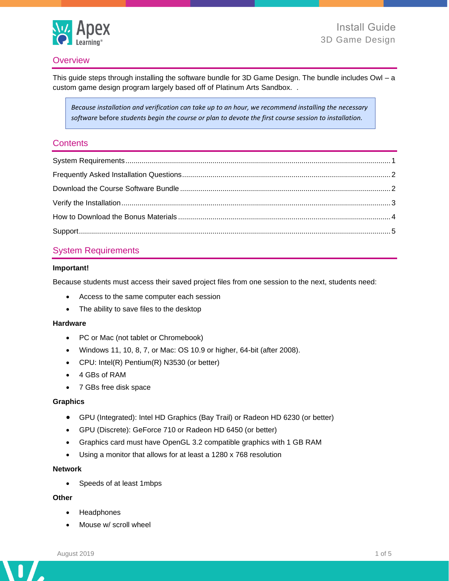

# **Overview**

This guide steps through installing the software bundle for 3D Game Design. The bundle includes Owl – a custom game design program largely based off of Platinum Arts Sandbox. .

*Because installation and verification can take up to an hour, we recommend installing the necessary software* before *students begin the course or plan to devote the first course session to installation.*

### **Contents**

# <span id="page-0-0"></span>System Requirements

### **Important!**

Because students must access their saved project files from one session to the next, students need:

- Access to the same computer each session
- The ability to save files to the desktop

#### **Hardware**

- PC or Mac (not tablet or Chromebook)
- Windows 11, 10, 8, 7, or Mac: OS 10.9 or higher, 64-bit (after 2008).
- CPU: Intel(R) Pentium(R) N3530 (or better)
- 4 GBs of RAM
- 7 GBs free disk space

#### **Graphics**

- GPU (Integrated): Intel HD Graphics (Bay Trail) or Radeon HD 6230 (or better)
- GPU (Discrete): GeForce 710 or Radeon HD 6450 (or better)
- Graphics card must have OpenGL 3.2 compatible graphics with 1 GB RAM
- Using a monitor that allows for at least a 1280 x 768 resolution

#### **Network**

• Speeds of at least 1mbps

## **Other**

- Headphones
- Mouse w/ scroll wheel

 $\overline{\phantom{a}}$ 

n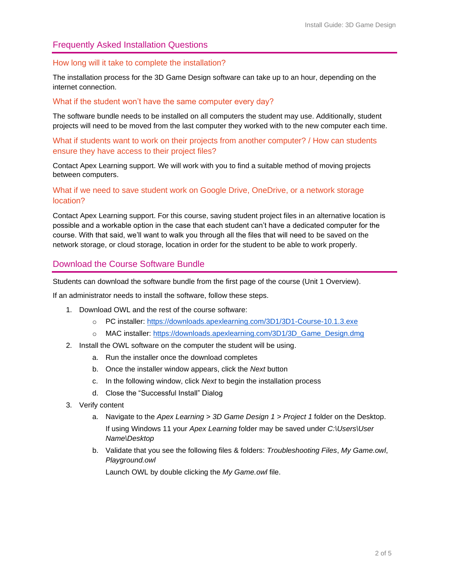## <span id="page-1-0"></span>Frequently Asked Installation Questions

#### How long will it take to complete the installation?

The installation process for the 3D Game Design software can take up to an hour, depending on the internet connection.

#### What if the student won't have the same computer every day?

The software bundle needs to be installed on all computers the student may use. Additionally, student projects will need to be moved from the last computer they worked with to the new computer each time.

What if students want to work on their projects from another computer? / How can students ensure they have access to their project files?

<span id="page-1-1"></span>Contact Apex Learning support. We will work with you to find a suitable method of moving projects between computers.

### What if we need to save student work on Google Drive, OneDrive, or a network storage location?

Contact Apex Learning support. For this course, saving student project files in an alternative location is possible and a workable option in the case that each student can't have a dedicated computer for the course. With that said, we'll want to walk you through all the files that will need to be saved on the network storage, or cloud storage, location in order for the student to be able to work properly.

### Download the Course Software Bundle

Students can download the software bundle from the first page of the course (Unit 1 Overview).

If an administrator needs to install the software, follow these steps.

- 1. Download OWL and the rest of the course software:
	- o PC installer:<https://downloads.apexlearning.com/3D1/3D1-Course-10.1.3.exe>
	- o MAC installer: [https://downloads.apexlearning.com/3D1/3D\\_Game\\_Design.dmg](https://downloads.apexlearning.com/3D1/3D_Game_Design.dmg)
- 2. Install the OWL software on the computer the student will be using.
	- a. Run the installer once the download completes
	- b. Once the installer window appears, click the *Next* button
	- c. In the following window, click *Next* to begin the installation process
	- d. Close the "Successful Install" Dialog
- 3. Verify content
	- a. Navigate to the *Apex Learning > 3D Game Design 1 > Project 1* folder on the Desktop. If using Windows 11 your *Apex Learning* folder may be saved under *C:\Users\User Name\Desktop*
	- b. Validate that you see the following files & folders: *Troubleshooting Files*, *My Game.owl*, *Playground.owl*

Launch OWL by double clicking the *My Game.owl* file.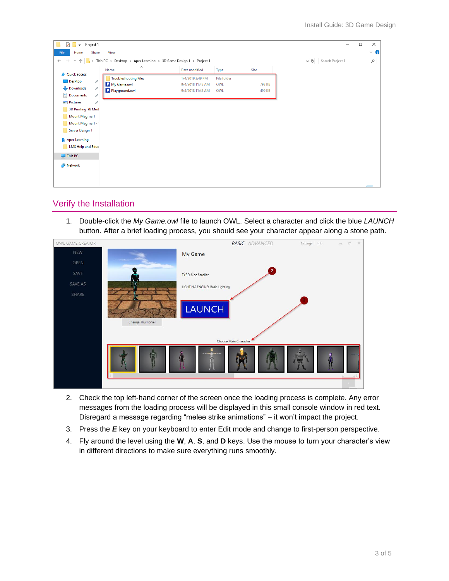| $\overline{\phantom{a}}$   Project 1                                                                                                                                                                                           |                                                                                                    |                                                            |                           |                  |  | - | $\Box$ | $\times$  |
|--------------------------------------------------------------------------------------------------------------------------------------------------------------------------------------------------------------------------------|----------------------------------------------------------------------------------------------------|------------------------------------------------------------|---------------------------|------------------|--|---|--------|-----------|
| File<br>Home<br>Share                                                                                                                                                                                                          | View                                                                                               |                                                            |                           |                  |  |   |        | $\vee$ 0  |
| <b>、个</b><br>$\rightarrow$<br>$\leftarrow$                                                                                                                                                                                     | > This PC > Desktop > Apex Learning > 3D Game Design 1 > Project 1<br>$\sim$ 0<br>Search Project 1 |                                                            |                           |                  |  |   |        | $\varphi$ |
|                                                                                                                                                                                                                                | $\wedge$<br>Name                                                                                   | Date modified                                              | Type                      | Size             |  |   |        |           |
| <b>A</b> Quick access<br>Desktop<br>÷<br>Downloads<br>À.<br>Documents<br>À.<br>Pictures<br>÷<br>3D Printing & Mod<br>Mount Magma 1<br>Mount Magma 1 - 1<br>Server Design 1<br><b>Apex Learning</b><br><b>LMS Help and Educ</b> | <b>Troubleshooting Files</b><br>My Game.owl<br>Playground.owl                                      | 1/4/2019 2:49 PM<br>9/4/2018 11:43 AM<br>9/4/2018 11:43 AM | File folder<br>OWL<br>OWL | 793 KB<br>499 KB |  |   |        |           |
| $\Box$ This PC<br>Network                                                                                                                                                                                                      |                                                                                                    |                                                            |                           |                  |  |   |        |           |

## <span id="page-2-0"></span>Verify the Installation

1. Double-click the *My Game.owl* file to launch OWL. Select a character and click the blue *LAUNCH*  button. After a brief loading process, you should see your character appear along a stone path.

| OWL GAME CREATOR | <b>BASIC</b> ADVANCED                                      | $\frac{1}{2} \left( \begin{array}{cc} 1 & 0 \\ 0 & 1 \end{array} \right)$<br>$\times$<br>Settings Info |
|------------------|------------------------------------------------------------|--------------------------------------------------------------------------------------------------------|
| <b>NEW</b>       | My Game                                                    |                                                                                                        |
| OPEN             |                                                            |                                                                                                        |
| SAVE             | <b>TYPE: Side Scroller</b>                                 | $\mathbf{2}$                                                                                           |
| SAVE AS          | $\circ$<br>LIGHTING ENGINE: Basic Lighting                 |                                                                                                        |
| SHARE            | <b>LAUNCH</b><br>Change Thumbnail<br>Choose Main Character | $\mathbf{1}$                                                                                           |
|                  |                                                            |                                                                                                        |

- 2. Check the top left-hand corner of the screen once the loading process is complete. Any error messages from the loading process will be displayed in this small console window in red text. Disregard a message regarding "melee strike animations" – it won't impact the project.
- 3. Press the *E* key on your keyboard to enter Edit mode and change to first-person perspective.
- 4. Fly around the level using the **W**, **A**, **S**, and **D** keys. Use the mouse to turn your character's view in different directions to make sure everything runs smoothly.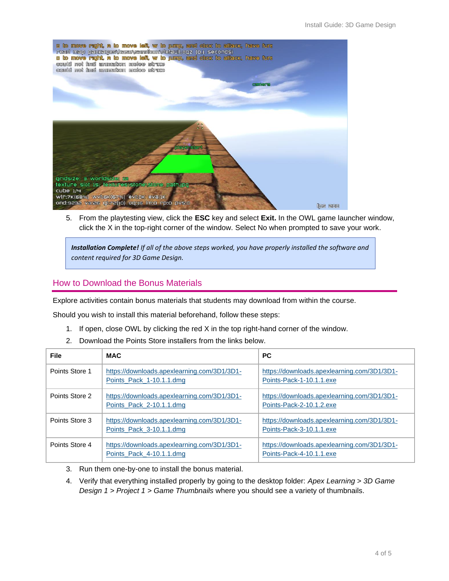

5. From the playtesting view, click the **ESC** key and select **Exit.** In the OWL game launcher window, click the X in the top-right corner of the window. Select No when prompted to save your work.

*Installation Complete! If all of the above steps worked, you have properly installed the software and content required for 3D Game Design.*

# <span id="page-3-0"></span>How to Download the Bonus Materials

Explore activities contain bonus materials that students may download from within the course.

Should you wish to install this material beforehand, follow these steps:

- 1. If open, close OWL by clicking the red X in the top right-hand corner of the window.
- 2. Download the Points Store installers from the links below.

| File           | <b>MAC</b>                                                              | <b>PC</b>                                                               |
|----------------|-------------------------------------------------------------------------|-------------------------------------------------------------------------|
| Points Store 1 | https://downloads.apexlearning.com/3D1/3D1-<br>Points Pack 1-10.1.1.dmg | https://downloads.apexlearning.com/3D1/3D1-<br>Points-Pack-1-10.1.1.exe |
| Points Store 2 | https://downloads.apexlearning.com/3D1/3D1-<br>Points Pack 2-10.1.1.dmg | https://downloads.apexlearning.com/3D1/3D1-<br>Points-Pack-2-10.1.2.exe |
| Points Store 3 | https://downloads.apexlearning.com/3D1/3D1-<br>Points_Pack_3-10.1.1.dmg | https://downloads.apexlearning.com/3D1/3D1-<br>Points-Pack-3-10.1.1.exe |
| Points Store 4 | https://downloads.apexlearning.com/3D1/3D1-<br>Points Pack 4-10.1.1.dmg | https://downloads.apexlearning.com/3D1/3D1-<br>Points-Pack-4-10.1.1.exe |

- 3. Run them one-by-one to install the bonus material.
- 4. Verify that everything installed properly by going to the desktop folder: *Apex Learning > 3D Game Design 1 > Project 1 > Game Thumbnails* where you should see a variety of thumbnails.